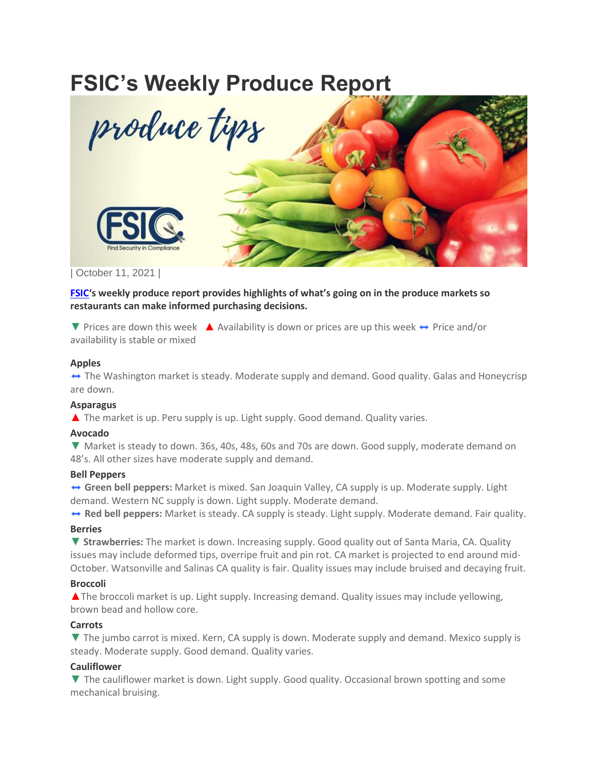# **FSIC's Weekly Produce Report**



| October 11, 2021 |

**[FSIC](https://fsici.com/)'s weekly produce report provides highlights of what's going on in the produce markets so restaurants can make informed purchasing decisions.**

▼ Prices are down this week ▲ Availability is down or prices are up this week ↔ Price and/or availability is stable or mixed

#### **Apples**

 $\leftrightarrow$  The Washington market is steady. Moderate supply and demand. Good quality. Galas and Honeycrisp are down.

#### **Asparagus**

 $\blacktriangle$  The market is up. Peru supply is up. Light supply. Good demand. Quality varies.

### **Avocado**

▼ Market is steady to down. 36s, 40s, 48s, 60s and 70s are down. Good supply, moderate demand on 48's. All other sizes have moderate supply and demand.

#### **Bell Peppers**

⬌ **Green bell peppers:** Market is mixed. San Joaquin Valley, CA supply is up. Moderate supply. Light demand. Western NC supply is down. Light supply. Moderate demand.

⬌ **Red bell peppers:** Market is steady. CA supply is steady. Light supply. Moderate demand. Fair quality. **Berries**

▼ **Strawberries:** The market is down. Increasing supply. Good quality out of Santa Maria, CA. Quality issues may include deformed tips, overripe fruit and pin rot. CA market is projected to end around mid-October. Watsonville and Salinas CA quality is fair. Quality issues may include bruised and decaying fruit.

#### **Broccoli**

▲The broccoli market is up. Light supply. Increasing demand. Quality issues may include yellowing, brown bead and hollow core.

### **Carrots**

▼ The jumbo carrot is mixed. Kern, CA supply is down. Moderate supply and demand. Mexico supply is steady. Moderate supply. Good demand. Quality varies.

## **Cauliflower**

▼ The cauliflower market is down. Light supply. Good quality. Occasional brown spotting and some mechanical bruising.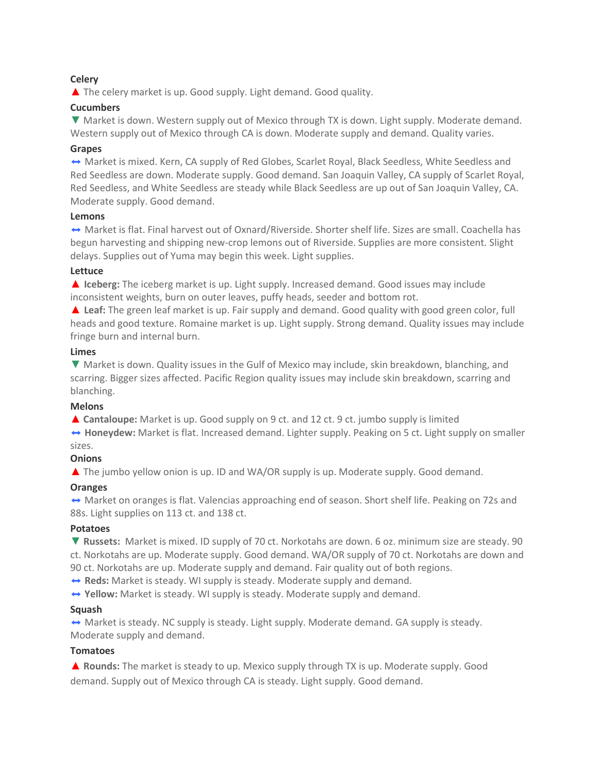# **Celery**

▲ The celery market is up. Good supply. Light demand. Good quality.

# **Cucumbers**

▼ Market is down. Western supply out of Mexico through TX is down. Light supply. Moderate demand. Western supply out of Mexico through CA is down. Moderate supply and demand. Quality varies.

## **Grapes**

↔ Market is mixed. Kern, CA supply of Red Globes, Scarlet Royal, Black Seedless, White Seedless and Red Seedless are down. Moderate supply. Good demand. San Joaquin Valley, CA supply of Scarlet Royal, Red Seedless, and White Seedless are steady while Black Seedless are up out of San Joaquin Valley, CA. Moderate supply. Good demand.

### **Lemons**

↔ Market is flat. Final harvest out of Oxnard/Riverside. Shorter shelf life. Sizes are small. Coachella has begun harvesting and shipping new-crop lemons out of Riverside. Supplies are more consistent. Slight delays. Supplies out of Yuma may begin this week. Light supplies.

## **Lettuce**

▲ **Iceberg:** The iceberg market is up. Light supply. Increased demand. Good issues may include inconsistent weights, burn on outer leaves, puffy heads, seeder and bottom rot.

▲ **Leaf:** The green leaf market is up. Fair supply and demand. Good quality with good green color, full heads and good texture. Romaine market is up. Light supply. Strong demand. Quality issues may include fringe burn and internal burn.

# **Limes**

▼ Market is down. Quality issues in the Gulf of Mexico may include, skin breakdown, blanching, and scarring. Bigger sizes affected. Pacific Region quality issues may include skin breakdown, scarring and blanching.

### **Melons**

▲ **Cantaloupe:** Market is up. Good supply on 9 ct. and 12 ct. 9 ct. jumbo supply is limited

**→ Honeydew:** Market is flat. Increased demand. Lighter supply. Peaking on 5 ct. Light supply on smaller sizes.

# **Onions**

▲ The jumbo yellow onion is up. ID and WA/OR supply is up. Moderate supply. Good demand.

# **Oranges**

 $\leftrightarrow$  Market on oranges is flat. Valencias approaching end of season. Short shelf life. Peaking on 72s and 88s. Light supplies on 113 ct. and 138 ct.

# **Potatoes**

▼ **Russets:** Market is mixed. ID supply of 70 ct. Norkotahs are down. 6 oz. minimum size are steady. 90 ct. Norkotahs are up. Moderate supply. Good demand. WA/OR supply of 70 ct. Norkotahs are down and 90 ct. Norkotahs are up. Moderate supply and demand. Fair quality out of both regions.

**← Reds:** Market is steady. WI supply is steady. Moderate supply and demand.

**→ Yellow:** Market is steady. WI supply is steady. Moderate supply and demand.

# **Squash**

 $\leftrightarrow$  Market is steady. NC supply is steady. Light supply. Moderate demand. GA supply is steady. Moderate supply and demand.

### **Tomatoes**

▲ **Rounds:** The market is steady to up. Mexico supply through TX is up. Moderate supply. Good demand. Supply out of Mexico through CA is steady. Light supply. Good demand.